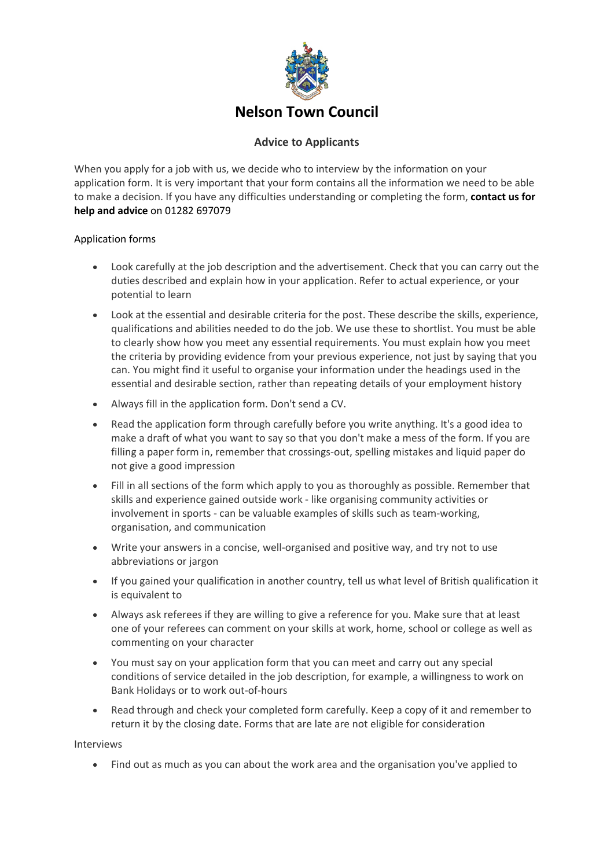

## **Nelson Town Council**

## **Advice to Applicants**

When you apply for a job with us, we decide who to interview by the information on your application form. It is very important that your form contains all the information we need to be able to make a decision. If you have any difficulties understanding or completing the form, **contact us for help and advice** on 01282 697079

## Application forms

- Look carefully at the job description and the advertisement. Check that you can carry out the duties described and explain how in your application. Refer to actual experience, or your potential to learn
- Look at the essential and desirable criteria for the post. These describe the skills, experience, qualifications and abilities needed to do the job. We use these to shortlist. You must be able to clearly show how you meet any essential requirements. You must explain how you meet the criteria by providing evidence from your previous experience, not just by saying that you can. You might find it useful to organise your information under the headings used in the essential and desirable section, rather than repeating details of your employment history
- Always fill in the application form. Don't send a CV.
- Read the application form through carefully before you write anything. It's a good idea to make a draft of what you want to say so that you don't make a mess of the form. If you are filling a paper form in, remember that crossings-out, spelling mistakes and liquid paper do not give a good impression
- Fill in all sections of the form which apply to you as thoroughly as possible. Remember that skills and experience gained outside work - like organising community activities or involvement in sports - can be valuable examples of skills such as team-working, organisation, and communication
- Write your answers in a concise, well-organised and positive way, and try not to use abbreviations or jargon
- If you gained your qualification in another country, tell us what level of British qualification it is equivalent to
- Always ask referees if they are willing to give a reference for you. Make sure that at least one of your referees can comment on your skills at work, home, school or college as well as commenting on your character
- You must say on your application form that you can meet and carry out any special conditions of service detailed in the job description, for example, a willingness to work on Bank Holidays or to work out-of-hours
- Read through and check your completed form carefully. Keep a copy of it and remember to return it by the closing date. Forms that are late are not eligible for consideration

Interviews

• Find out as much as you can about the work area and the organisation you've applied to